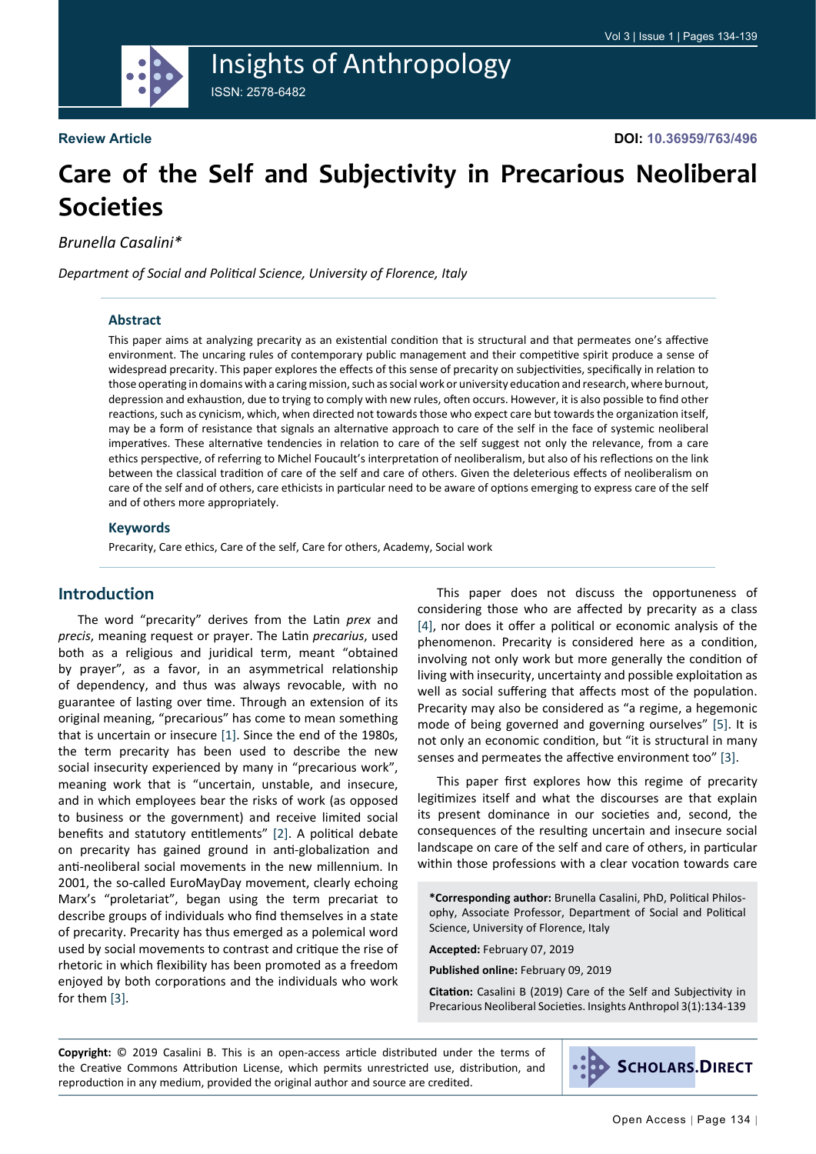

## Insights of Anthropology ISSN: 2578-6482

**Review Article**

# **Care of the Self and Subjectivity in Precarious Neoliberal Societies**

*Brunella Casalini\**

*Department of Social and Political Science, University of Florence, Italy*

### **Abstract**

This paper aims at analyzing precarity as an existential condition that is structural and that permeates one's affective environment. The uncaring rules of contemporary public management and their competitive spirit produce a sense of widespread precarity. This paper explores the effects of this sense of precarity on subjectivities, specifically in relation to those operating in domains with a caring mission, such as social work or university education and research, where burnout, depression and exhaustion, due to trying to comply with new rules, often occurs. However, it is also possible to find other reactions, such as cynicism, which, when directed not towards those who expect care but towards the organization itself, may be a form of resistance that signals an alternative approach to care of the self in the face of systemic neoliberal imperatives. These alternative tendencies in relation to care of the self suggest not only the relevance, from a care ethics perspective, of referring to Michel Foucault's interpretation of neoliberalism, but also of his reflections on the link between the classical tradition of care of the self and care of others. Given the deleterious effects of neoliberalism on care of the self and of others, care ethicists in particular need to be aware of options emerging to express care of the self and of others more appropriately.

#### **Keywords**

Precarity, Care ethics, Care of the self, Care for others, Academy, Social work

### **Introduction**

The word "precarity" derives from the Latin *prex* and *precis*, meaning request or prayer. The Latin *precarius*, used both as a religious and juridical term, meant "obtained by prayer", as a favor, in an asymmetrical relationship of dependency, and thus was always revocable, with no guarantee of lasting over time. Through an extension of its original meaning, "precarious" has come to mean something that is uncertain or insecure [\[1](#page-4-0)]. Since the end of the 1980s, the term precarity has been used to describe the new social insecurity experienced by many in "precarious work", meaning work that is "uncertain, unstable, and insecure, and in which employees bear the risks of work (as opposed to business or the government) and receive limited social benefits and statutory entitlements" [\[2](#page-5-0)]. A political debate on precarity has gained ground in anti-globalization and anti-neoliberal social movements in the new millennium. In 2001, the so-called EuroMayDay movement, clearly echoing Marx's "proletariat", began using the term precariat to describe groups of individuals who find themselves in a state of precarity. Precarity has thus emerged as a polemical word used by social movements to contrast and critique the rise of rhetoric in which flexibility has been promoted as a freedom enjoyed by both corporations and the individuals who work for them [\[3\]](#page-5-1).

This paper does not discuss the opportuneness of considering those who are affected by precarity as a class [[4\]](#page-5-2), nor does it offer a political or economic analysis of the phenomenon. Precarity is considered here as a condition, involving not only work but more generally the condition of living with insecurity, uncertainty and possible exploitation as well as social suffering that affects most of the population. Precarity may also be considered as "a regime, a hegemonic mode of being governed and governing ourselves" [\[5](#page-5-3)]. It is not only an economic condition, but "it is structural in many senses and permeates the affective environment too" [[3\]](#page-5-1).

This paper first explores how this regime of precarity legitimizes itself and what the discourses are that explain its present dominance in our societies and, second, the consequences of the resulting uncertain and insecure social landscape on care of the self and care of others, in particular within those professions with a clear vocation towards care

**\*Corresponding author:** Brunella Casalini, PhD, Political Philosophy, Associate Professor, Department of Social and Political Science, University of Florence, Italy

**Accepted:** February 07, 2019

**Published online:** February 09, 2019

**Citation:** Casalini B (2019) Care of the Self and Subjectivity in Precarious Neoliberal Societies. Insights Anthropol 3(1):134-139

**Copyright:** © 2019 Casalini B. This is an open-access article distributed under the terms of the Creative Commons Attribution License, which permits unrestricted use, distribution, and reproduction in any medium, provided the original author and source are credited.

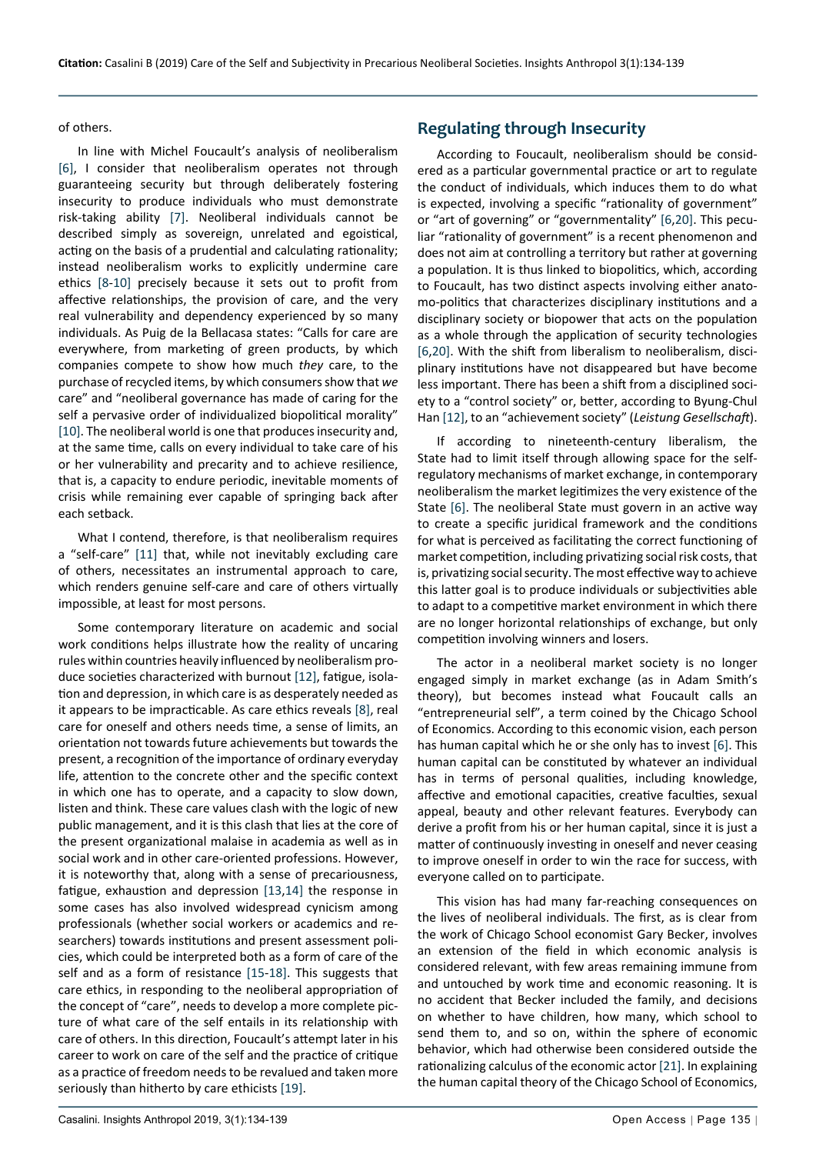#### of others.

In line with Michel Foucault's analysis of neoliberalism [[6\]](#page-5-4), I consider that neoliberalism operates not through guaranteeing security but through deliberately fostering insecurity to produce individuals who must demonstrate risk-taking ability [\[7](#page-5-8)]. Neoliberal individuals cannot be described simply as sovereign, unrelated and egoistical, acting on the basis of a prudential and calculating rationality; instead neoliberalism works to explicitly undermine care ethics [\[8](#page-5-9)-[10\]](#page-5-10) precisely because it sets out to profit from affective relationships, the provision of care, and the very real vulnerability and dependency experienced by so many individuals. As Puig de la Bellacasa states: "Calls for care are everywhere, from marketing of green products, by which companies compete to show how much *they* care, to the purchase of recycled items, by which consumers show that *we*  care" and "neoliberal governance has made of caring for the self a pervasive order of individualized biopolitical morality" [[10\]](#page-5-10). The neoliberal world is one that produces insecurity and, at the same time, calls on every individual to take care of his or her vulnerability and precarity and to achieve resilience, that is, a capacity to endure periodic, inevitable moments of crisis while remaining ever capable of springing back after each setback.

What I contend, therefore, is that neoliberalism requires a "self-care" [[11\]](#page-5-11) that, while not inevitably excluding care of others, necessitates an instrumental approach to care, which renders genuine self-care and care of others virtually impossible, at least for most persons.

Some contemporary literature on academic and social work conditions helps illustrate how the reality of uncaring rules within countries heavily influenced by neoliberalism produce societies characterized with burnout [[12](#page-5-6)], fatigue, isolation and depression, in which care is as desperately needed as it appears to be impracticable. As care ethics reveals [[8](#page-5-9)], real care for oneself and others needs time, a sense of limits, an orientation not towards future achievements but towards the present, a recognition of the importance of ordinary everyday life, attention to the concrete other and the specific context in which one has to operate, and a capacity to slow down, listen and think. These care values clash with the logic of new public management, and it is this clash that lies at the core of the present organizational malaise in academia as well as in social work and in other care-oriented professions. However, it is noteworthy that, along with a sense of precariousness, fatigue, exhaustion and depression [[13](#page-5-12),[14](#page-5-13)] the response in some cases has also involved widespread cynicism among professionals (whether social workers or academics and researchers) towards institutions and present assessment policies, which could be interpreted both as a form of care of the self and as a form of resistance [\[15](#page-5-14)-[18](#page-5-15)]. This suggests that care ethics, in responding to the neoliberal appropriation of the concept of "care", needs to develop a more complete picture of what care of the self entails in its relationship with care of others. In this direction, Foucault's attempt later in his career to work on care of the self and the practice of critique as a practice of freedom needs to be revalued and taken more seriously than hitherto by care ethicists [[19\]](#page-5-16).

### **Regulating through Insecurity**

According to Foucault, neoliberalism should be considered as a particular governmental practice or art to regulate the conduct of individuals, which induces them to do what is expected, involving a specific "rationality of government" or "art of governing" or "governmentality" [\[6](#page-5-4),[20\]](#page-5-5). This peculiar "rationality of government" is a recent phenomenon and does not aim at controlling a territory but rather at governing a population. It is thus linked to biopolitics, which, according to Foucault, has two distinct aspects involving either anatomo-politics that characterizes disciplinary institutions and a disciplinary society or biopower that acts on the population as a whole through the application of security technologies [[6](#page-5-4),[20](#page-5-5)]. With the shift from liberalism to neoliberalism, disciplinary institutions have not disappeared but have become less important. There has been a shift from a disciplined society to a "control society" or, better, according to Byung-Chul Han [[12](#page-5-6)], to an "achievement society" (*Leistung Gesellschaft*).

If according to nineteenth-century liberalism, the State had to limit itself through allowing space for the selfregulatory mechanisms of market exchange, in contemporary neoliberalism the market legitimizes the very existence of the State [[6\]](#page-5-4). The neoliberal State must govern in an active way to create a specific juridical framework and the conditions for what is perceived as facilitating the correct functioning of market competition, including privatizing social risk costs, that is, privatizing social security. The most effective way to achieve this latter goal is to produce individuals or subjectivities able to adapt to a competitive market environment in which there are no longer horizontal relationships of exchange, but only competition involving winners and losers.

The actor in a neoliberal market society is no longer engaged simply in market exchange (as in Adam Smith's theory), but becomes instead what Foucault calls an "entrepreneurial self", a term coined by the Chicago School of Economics. According to this economic vision, each person has human capital which he or she only has to invest [[6\]](#page-5-4). This human capital can be constituted by whatever an individual has in terms of personal qualities, including knowledge, affective and emotional capacities, creative faculties, sexual appeal, beauty and other relevant features. Everybody can derive a profit from his or her human capital, since it is just a matter of continuously investing in oneself and never ceasing to improve oneself in order to win the race for success, with everyone called on to participate.

This vision has had many far-reaching consequences on the lives of neoliberal individuals. The first, as is clear from the work of Chicago School economist Gary Becker, involves an extension of the field in which economic analysis is considered relevant, with few areas remaining immune from and untouched by work time and economic reasoning. It is no accident that Becker included the family, and decisions on whether to have children, how many, which school to send them to, and so on, within the sphere of economic behavior, which had otherwise been considered outside the rationalizing calculus of the economic actor [[21](#page-5-7)]. In explaining the human capital theory of the Chicago School of Economics,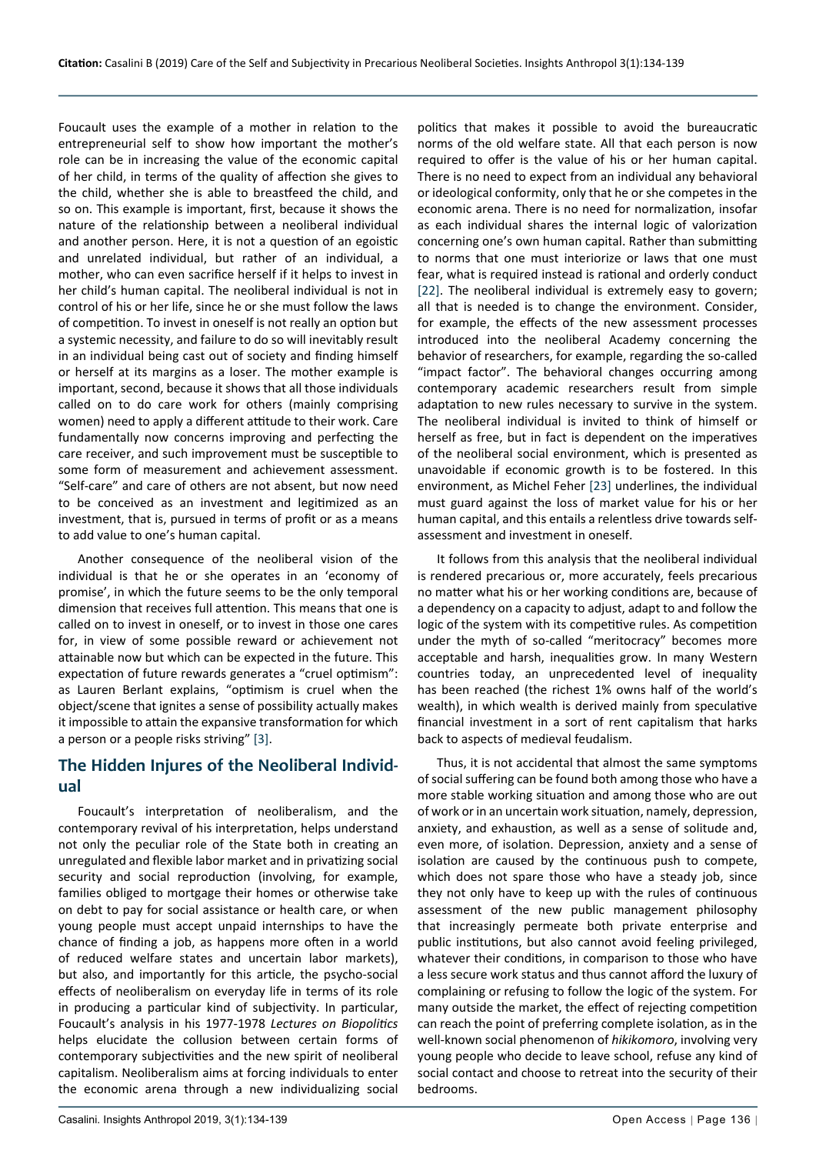Foucault uses the example of a mother in relation to the entrepreneurial self to show how important the mother's role can be in increasing the value of the economic capital of her child, in terms of the quality of affection she gives to the child, whether she is able to breastfeed the child, and so on. This example is important, first, because it shows the nature of the relationship between a neoliberal individual and another person. Here, it is not a question of an egoistic and unrelated individual, but rather of an individual, a mother, who can even sacrifice herself if it helps to invest in her child's human capital. The neoliberal individual is not in control of his or her life, since he or she must follow the laws of competition. To invest in oneself is not really an option but a systemic necessity, and failure to do so will inevitably result in an individual being cast out of society and finding himself or herself at its margins as a loser. The mother example is important, second, because it shows that all those individuals called on to do care work for others (mainly comprising women) need to apply a different attitude to their work. Care fundamentally now concerns improving and perfecting the care receiver, and such improvement must be susceptible to some form of measurement and achievement assessment. "Self-care" and care of others are not absent, but now need to be conceived as an investment and legitimized as an investment, that is, pursued in terms of profit or as a means to add value to one's human capital.

Another consequence of the neoliberal vision of the individual is that he or she operates in an 'economy of promise', in which the future seems to be the only temporal dimension that receives full attention. This means that one is called on to invest in oneself, or to invest in those one cares for, in view of some possible reward or achievement not attainable now but which can be expected in the future. This expectation of future rewards generates a "cruel optimism": as Lauren Berlant explains, "optimism is cruel when the object/scene that ignites a sense of possibility actually makes it impossible to attain the expansive transformation for which a person or a people risks striving" [\[3](#page-5-1)].

### **The Hidden Injures of the Neoliberal Individual**

Foucault's interpretation of neoliberalism, and the contemporary revival of his interpretation, helps understand not only the peculiar role of the State both in creating an unregulated and flexible labor market and in privatizing social security and social reproduction (involving, for example, families obliged to mortgage their homes or otherwise take on debt to pay for social assistance or health care, or when young people must accept unpaid internships to have the chance of finding a job, as happens more often in a world of reduced welfare states and uncertain labor markets), but also, and importantly for this article, the psycho-social effects of neoliberalism on everyday life in terms of its role in producing a particular kind of subjectivity. In particular, Foucault's analysis in his 1977-1978 *Lectures on Biopolitics* helps elucidate the collusion between certain forms of contemporary subjectivities and the new spirit of neoliberal capitalism. Neoliberalism aims at forcing individuals to enter the economic arena through a new individualizing social

politics that makes it possible to avoid the bureaucratic norms of the old welfare state. All that each person is now required to offer is the value of his or her human capital. There is no need to expect from an individual any behavioral or ideological conformity, only that he or she competes in the economic arena. There is no need for normalization, insofar as each individual shares the internal logic of valorization concerning one's own human capital. Rather than submitting to norms that one must interiorize or laws that one must fear, what is required instead is rational and orderly conduct [[22\]](#page-5-17). The neoliberal individual is extremely easy to govern; all that is needed is to change the environment. Consider, for example, the effects of the new assessment processes introduced into the neoliberal Academy concerning the behavior of researchers, for example, regarding the so-called "impact factor". The behavioral changes occurring among contemporary academic researchers result from simple adaptation to new rules necessary to survive in the system. The neoliberal individual is invited to think of himself or herself as free, but in fact is dependent on the imperatives of the neoliberal social environment, which is presented as unavoidable if economic growth is to be fostered. In this environment, as Michel Feher [\[23](#page-5-18)] underlines, the individual must guard against the loss of market value for his or her human capital, and this entails a relentless drive towards selfassessment and investment in oneself.

It follows from this analysis that the neoliberal individual is rendered precarious or, more accurately, feels precarious no matter what his or her working conditions are, because of a dependency on a capacity to adjust, adapt to and follow the logic of the system with its competitive rules. As competition under the myth of so-called "meritocracy" becomes more acceptable and harsh, inequalities grow. In many Western countries today, an unprecedented level of inequality has been reached (the richest 1% owns half of the world's wealth), in which wealth is derived mainly from speculative financial investment in a sort of rent capitalism that harks back to aspects of medieval feudalism.

Thus, it is not accidental that almost the same symptoms of social suffering can be found both among those who have a more stable working situation and among those who are out of work or in an uncertain work situation, namely, depression, anxiety, and exhaustion, as well as a sense of solitude and, even more, of isolation. Depression, anxiety and a sense of isolation are caused by the continuous push to compete, which does not spare those who have a steady job, since they not only have to keep up with the rules of continuous assessment of the new public management philosophy that increasingly permeate both private enterprise and public institutions, but also cannot avoid feeling privileged, whatever their conditions, in comparison to those who have a less secure work status and thus cannot afford the luxury of complaining or refusing to follow the logic of the system. For many outside the market, the effect of rejecting competition can reach the point of preferring complete isolation, as in the well-known social phenomenon of *hikikomoro*, involving very young people who decide to leave school, refuse any kind of social contact and choose to retreat into the security of their bedrooms.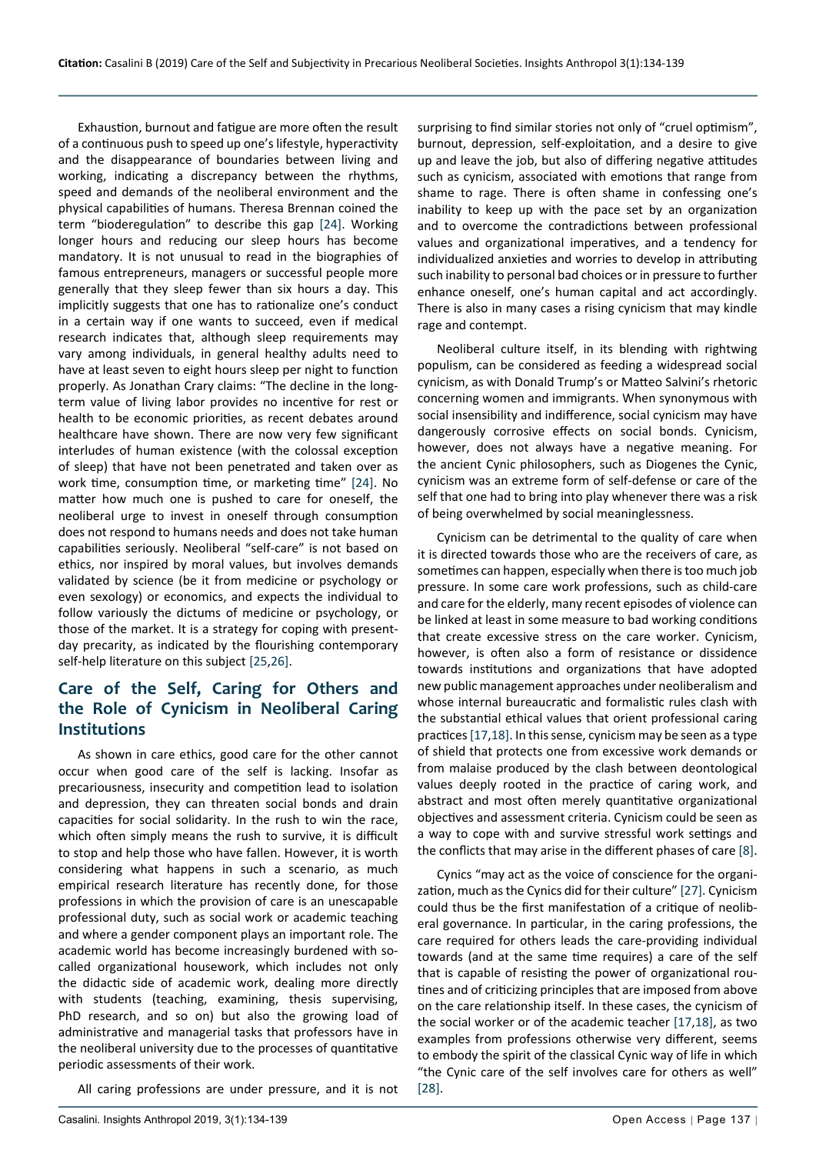Exhaustion, burnout and fatigue are more often the result of a continuous push to speed up one's lifestyle, hyperactivity and the disappearance of boundaries between living and working, indicating a discrepancy between the rhythms, speed and demands of the neoliberal environment and the physical capabilities of humans. Theresa Brennan coined the term "bioderegulation" to describe this gap [\[24](#page-5-22)]. Working longer hours and reducing our sleep hours has become mandatory. It is not unusual to read in the biographies of famous entrepreneurs, managers or successful people more generally that they sleep fewer than six hours a day. This implicitly suggests that one has to rationalize one's conduct in a certain way if one wants to succeed, even if medical research indicates that, although sleep requirements may vary among individuals, in general healthy adults need to have at least seven to eight hours sleep per night to function properly. As Jonathan Crary claims: "The decline in the longterm value of living labor provides no incentive for rest or health to be economic priorities, as recent debates around healthcare have shown. There are now very few significant interludes of human existence (with the colossal exception of sleep) that have not been penetrated and taken over as work time, consumption time, or marketing time" [\[24\]](#page-5-22). No matter how much one is pushed to care for oneself, the neoliberal urge to invest in oneself through consumption does not respond to humans needs and does not take human capabilities seriously. Neoliberal "self-care" is not based on ethics, nor inspired by moral values, but involves demands validated by science (be it from medicine or psychology or even sexology) or economics, and expects the individual to follow variously the dictums of medicine or psychology, or those of the market. It is a strategy for coping with presentday precarity, as indicated by the flourishing contemporary self-help literature on this subject [[25](#page-5-23),[26\]](#page-5-24).

### **Care of the Self, Caring for Others and the Role of Cynicism in Neoliberal Caring Institutions**

As shown in care ethics, good care for the other cannot occur when good care of the self is lacking. Insofar as precariousness, insecurity and competition lead to isolation and depression, they can threaten social bonds and drain capacities for social solidarity. In the rush to win the race, which often simply means the rush to survive, it is difficult to stop and help those who have fallen. However, it is worth considering what happens in such a scenario, as much empirical research literature has recently done, for those professions in which the provision of care is an unescapable professional duty, such as social work or academic teaching and where a gender component plays an important role. The academic world has become increasingly burdened with socalled organizational housework, which includes not only the didactic side of academic work, dealing more directly with students (teaching, examining, thesis supervising, PhD research, and so on) but also the growing load of administrative and managerial tasks that professors have in the neoliberal university due to the processes of quantitative periodic assessments of their work.

All caring professions are under pressure, and it is not

surprising to find similar stories not only of "cruel optimism", burnout, depression, self-exploitation, and a desire to give up and leave the job, but also of differing negative attitudes such as cynicism, associated with emotions that range from shame to rage. There is often shame in confessing one's inability to keep up with the pace set by an organization and to overcome the contradictions between professional values and organizational imperatives, and a tendency for individualized anxieties and worries to develop in attributing such inability to personal bad choices or in pressure to further enhance oneself, one's human capital and act accordingly. There is also in many cases a rising cynicism that may kindle rage and contempt.

Neoliberal culture itself, in its blending with rightwing populism, can be considered as feeding a widespread social cynicism, as with Donald Trump's or Matteo Salvini's rhetoric concerning women and immigrants. When synonymous with social insensibility and indifference, social cynicism may have dangerously corrosive effects on social bonds. Cynicism, however, does not always have a negative meaning. For the ancient Cynic philosophers, such as Diogenes the Cynic, cynicism was an extreme form of self-defense or care of the self that one had to bring into play whenever there was a risk of being overwhelmed by social meaninglessness.

Cynicism can be detrimental to the quality of care when it is directed towards those who are the receivers of care, as sometimes can happen, especially when there is too much job pressure. In some care work professions, such as child-care and care for the elderly, many recent episodes of violence can be linked at least in some measure to bad working conditions that create excessive stress on the care worker. Cynicism, however, is often also a form of resistance or dissidence towards institutions and organizations that have adopted new public management approaches under neoliberalism and whose internal bureaucratic and formalistic rules clash with the substantial ethical values that orient professional caring practices [[17](#page-5-19),[18\]](#page-5-15). In this sense, cynicism may be seen as a type of shield that protects one from excessive work demands or from malaise produced by the clash between deontological values deeply rooted in the practice of caring work, and abstract and most often merely quantitative organizational objectives and assessment criteria. Cynicism could be seen as a way to cope with and survive stressful work settings and the conflicts that may arise in the different phases of care [\[8](#page-5-9)].

Cynics "may act as the voice of conscience for the organization, much as the Cynics did for their culture" [\[27](#page-5-20)]. Cynicism could thus be the first manifestation of a critique of neoliberal governance. In particular, in the caring professions, the care required for others leads the care-providing individual towards (and at the same time requires) a care of the self that is capable of resisting the power of organizational routines and of criticizing principles that are imposed from above on the care relationship itself. In these cases, the cynicism of the social worker or of the academic teacher [[17](#page-5-19)[,18](#page-5-15)], as two examples from professions otherwise very different, seems to embody the spirit of the classical Cynic way of life in which "the Cynic care of the self involves care for others as well" [[28\]](#page-5-21).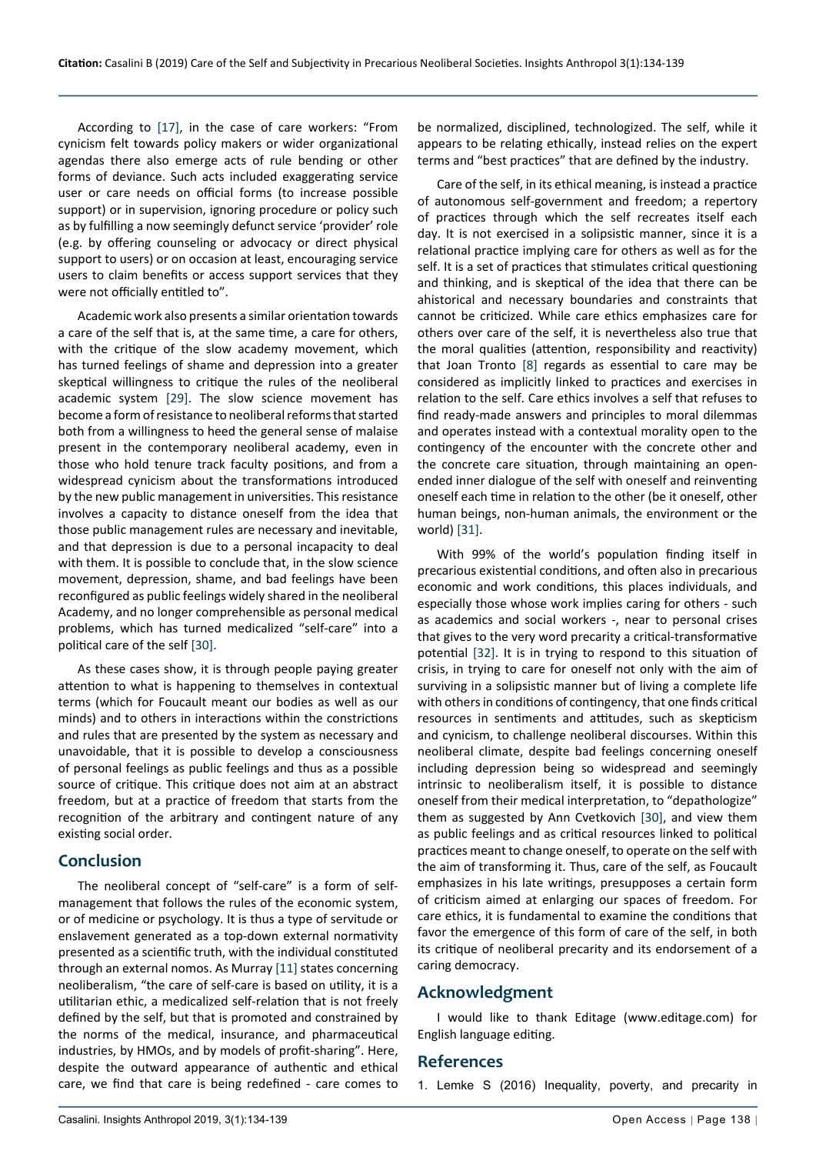According to [[17\]](#page-5-19), in the case of care workers: "From cynicism felt towards policy makers or wider organizational agendas there also emerge acts of rule bending or other forms of deviance. Such acts included exaggerating service user or care needs on official forms (to increase possible support) or in supervision, ignoring procedure or policy such as by fulfilling a now seemingly defunct service 'provider' role (e.g. by offering counseling or advocacy or direct physical support to users) or on occasion at least, encouraging service users to claim benefits or access support services that they were not officially entitled to".

Academic work also presents a similar orientation towards a care of the self that is, at the same time, a care for others, with the critique of the slow academy movement, which has turned feelings of shame and depression into a greater skeptical willingness to critique the rules of the neoliberal academic system [\[29](#page-5-28)]. The slow science movement has become a form of resistance to neoliberal reforms that started both from a willingness to heed the general sense of malaise present in the contemporary neoliberal academy, even in those who hold tenure track faculty positions, and from a widespread cynicism about the transformations introduced by the new public management in universities. This resistance involves a capacity to distance oneself from the idea that those public management rules are necessary and inevitable, and that depression is due to a personal incapacity to deal with them. It is possible to conclude that, in the slow science movement, depression, shame, and bad feelings have been reconfigured as public feelings widely shared in the neoliberal Academy, and no longer comprehensible as personal medical problems, which has turned medicalized "self-care" into a political care of the self [[30\]](#page-5-27).

As these cases show, it is through people paying greater attention to what is happening to themselves in contextual terms (which for Foucault meant our bodies as well as our minds) and to others in interactions within the constrictions and rules that are presented by the system as necessary and unavoidable, that it is possible to develop a consciousness of personal feelings as public feelings and thus as a possible source of critique. This critique does not aim at an abstract freedom, but at a practice of freedom that starts from the recognition of the arbitrary and contingent nature of any existing social order.

### **Conclusion**

The neoliberal concept of "self-care" is a form of selfmanagement that follows the rules of the economic system, or of medicine or psychology. It is thus a type of servitude or enslavement generated as a top-down external normativity presented as a scientific truth, with the individual constituted through an external nomos. As Murray [\[11](#page-5-11)] states concerning neoliberalism, "the care of self-care is based on utility, it is a utilitarian ethic, a medicalized self-relation that is not freely defined by the self, but that is promoted and constrained by the norms of the medical, insurance, and pharmaceutical industries, by HMOs, and by models of profit-sharing". Here, despite the outward appearance of authentic and ethical care, we find that care is being redefined - care comes to

be normalized, disciplined, technologized. The self, while it appears to be relating ethically, instead relies on the expert terms and "best practices" that are defined by the industry.

Care of the self, in its ethical meaning, is instead a practice of autonomous self-government and freedom; a repertory of practices through which the self recreates itself each day. It is not exercised in a solipsistic manner, since it is a relational practice implying care for others as well as for the self. It is a set of practices that stimulates critical questioning and thinking, and is skeptical of the idea that there can be ahistorical and necessary boundaries and constraints that cannot be criticized. While care ethics emphasizes care for others over care of the self, it is nevertheless also true that the moral qualities (attention, responsibility and reactivity) that Joan Tronto [\[8](#page-5-9)] regards as essential to care may be considered as implicitly linked to practices and exercises in relation to the self. Care ethics involves a self that refuses to find ready-made answers and principles to moral dilemmas and operates instead with a contextual morality open to the contingency of the encounter with the concrete other and the concrete care situation, through maintaining an openended inner dialogue of the self with oneself and reinventing oneself each time in relation to the other (be it oneself, other human beings, non-human animals, the environment or the world) [[31\]](#page-5-25).

With 99% of the world's population finding itself in precarious existential conditions, and often also in precarious economic and work conditions, this places individuals, and especially those whose work implies caring for others - such as academics and social workers -, near to personal crises that gives to the very word precarity a critical-transformative potential [\[32](#page-5-26)]. It is in trying to respond to this situation of crisis, in trying to care for oneself not only with the aim of surviving in a solipsistic manner but of living a complete life with others in conditions of contingency, that one finds critical resources in sentiments and attitudes, such as skepticism and cynicism, to challenge neoliberal discourses. Within this neoliberal climate, despite bad feelings concerning oneself including depression being so widespread and seemingly intrinsic to neoliberalism itself, it is possible to distance oneself from their medical interpretation, to "depathologize" them as suggested by Ann Cvetkovich [[30\]](#page-5-27), and view them as public feelings and as critical resources linked to political practices meant to change oneself, to operate on the self with the aim of transforming it. Thus, care of the self, as Foucault emphasizes in his late writings, presupposes a certain form of criticism aimed at enlarging our spaces of freedom. For care ethics, it is fundamental to examine the conditions that favor the emergence of this form of care of the self, in both its critique of neoliberal precarity and its endorsement of a caring democracy.

### **Acknowledgment**

I would like to thank Editage (www.editage.com) for English language editing.

### **References**

<span id="page-4-0"></span>1. [Lemke S \(2016\) Inequality, poverty, and precarity in](https://www.springerprofessional.de/en/inequality-poverty-and-precarity-in-contemporary-american-cultur/11915474)